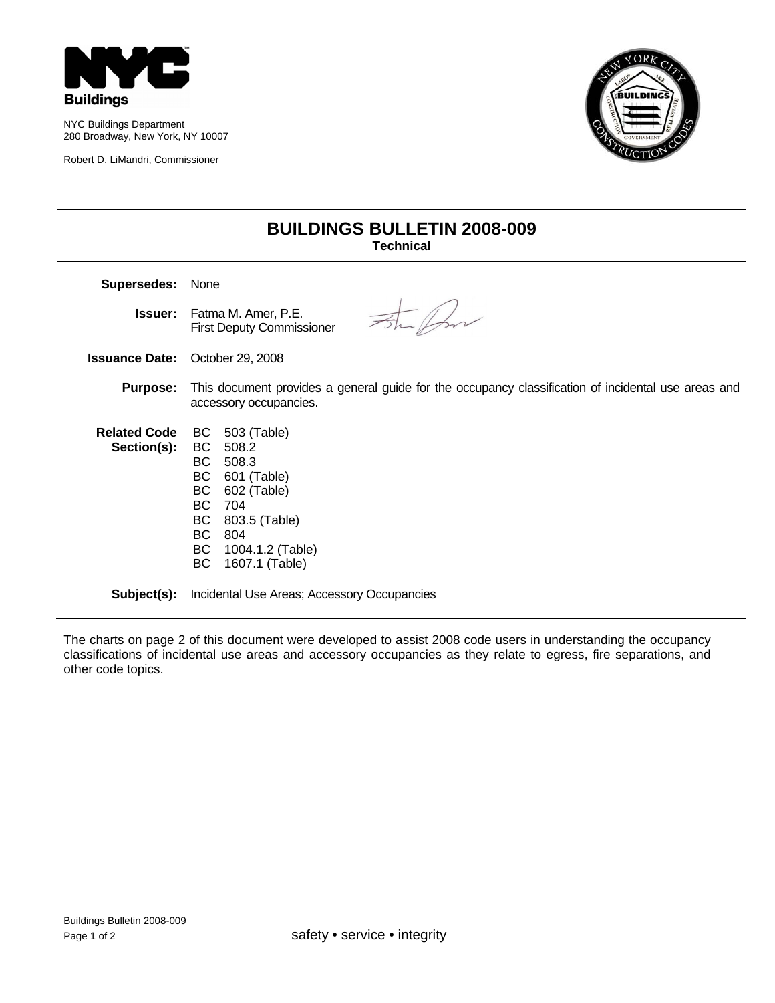

NYC Buildings Department 280 Broadway, New York, NY 10007

Robert D. LiMandri, Commissioner



## **BUILDINGS BULLETIN 2008-009 Technical**

**Supersedes:** None Str for **Issuer:** Fatma M. Amer, P.E. First Deputy Commissioner **Issuance Date:** October 29, 2008 **Purpose:** This document provides a general guide for the occupancy classification of incidental use areas and accessory occupancies. **Related Code**  BC 503 (Table) **Section(s):**  BC 508.2 BC 508.3 BC 601 (Table) BC 602 (Table) BC 704 BC 803.5 (Table) BC 804 BC 1004.1.2 (Table) BC 1607.1 (Table)

**Subject(s):** Incidental Use Areas; Accessory Occupancies

The charts on page 2 of this document were developed to assist 2008 code users in understanding the occupancy classifications of incidental use areas and accessory occupancies as they relate to egress, fire separations, and other code topics.